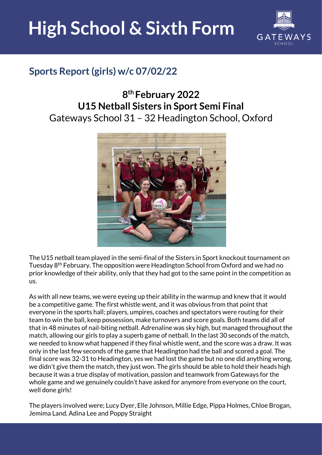

#### **Sports Report (girls) w/c 07/02/22**

#### **8 th February 2022 U15 Netball Sisters in Sport Semi Final**  Gateways School 31 – 32 Headington School, Oxford



The U15 netball team played in the semi-final of the Sisters in Sport knockout tournament on Tuesday 8<sup>th</sup> February. The opposition were Headington School from Oxford and we had no prior knowledge of their ability, only that they had got to the same point in the competition as us.

As with all new teams, we were eyeing up their ability in the warmup and knew that it would be a competitive game. The first whistle went, and it was obvious from that point that everyone in the sports hall; players, umpires, coaches and spectators were routing for their team to win the ball, keep possession, make turnovers and score goals. Both teams did all of that in 48 minutes of nail-biting netball. Adrenaline was sky high, but managed throughout the match, allowing our girls to play a superb game of netball. In the last 30 seconds of the match, we needed to know what happened if they final whistle went, and the score was a draw. It was only in the last few seconds of the game that Headington had the ball and scored a goal. The final score was 32-31 to Headington, yes we had lost the game but no one did anything wrong, we didn't give them the match, they just won. The girls should be able to hold their heads high because it was a true display of motivation, passion and teamwork from Gateways for the whole game and we genuinely couldn't have asked for anymore from everyone on the court, well done girls!

The players involved were; Lucy Dyer, Elle Johnson, Millie Edge, Pippa Holmes, Chloe Brogan, Jemima Land, Adina Lee and Poppy Straight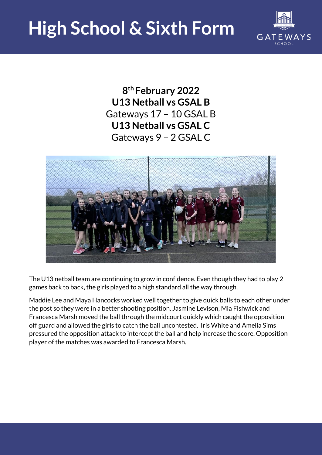

**8 th February 2022 U13 Netball vs GSAL B**  Gateways 17 – 10 GSAL B **U13 Netball vs GSAL C** Gateways 9 – 2 GSAL C



The U13 netball team are continuing to grow in confidence. Even though they had to play 2 games back to back, the girls played to a high standard all the way through.

Maddie Lee and Maya Hancocks worked well together to give quick balls to each other under the post so they were in a better shooting position. Jasmine Levison, Mia Fishwick and Francesca Marsh moved the ball through the midcourt quickly which caught the opposition off guard and allowed the girls to catch the ball uncontested. Iris White and Amelia Sims pressured the opposition attack to intercept the ball and help increase the score. Opposition player of the matches was awarded to Francesca Marsh.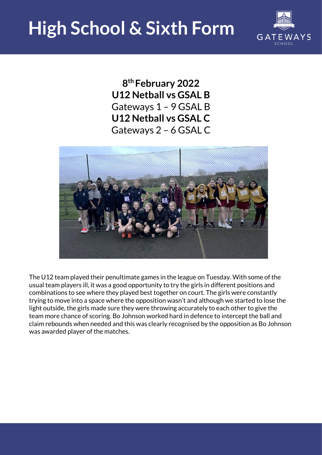

**8 th February 2022 U12 Netball vs GSAL B** Gateways 1 – 9 GSAL B **U12 Netball vs GSAL C** Gateways 2 – 6 GSAL C



The U12 team played their penultimate games in the league on Tuesday. With some of the usual team players ill, it was a good opportunity to try the girls in different positions and combinations to see where they played best together on court. The girls were constantly trying to move into a space where the opposition wasn't and although we started to lose the light outside, the girls made sure they were throwing accurately to each other to give the team more chance of scoring. Bo Johnson worked hard in defence to intercept the ball and claim rebounds when needed and this was clearly recognised by the opposition as Bo Johnson was awarded player of the matches.